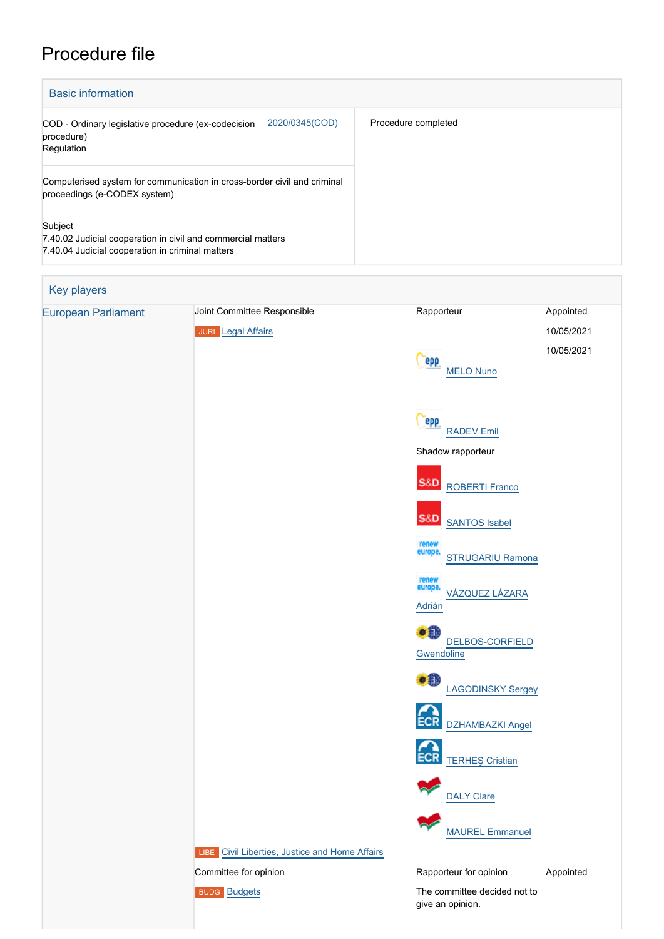# Procedure file

| <b>Basic information</b>                                                                                                    |                     |
|-----------------------------------------------------------------------------------------------------------------------------|---------------------|
| 2020/0345(COD)<br>COD - Ordinary legislative procedure (ex-codecision<br>procedure)<br>Regulation                           | Procedure completed |
| Computerised system for communication in cross-border civil and criminal<br>proceedings (e-CODEX system)                    |                     |
| Subject<br>7.40.02 Judicial cooperation in civil and commercial matters<br>7.40.04 Judicial cooperation in criminal matters |                     |

# Key players [European Parliament](http://www.europarl.europa.eu/) Joint Committee Responsible **Rapporteur** Rapporteur Appointed JURI [Legal Affairs](http://www.europarl.europa.eu/committees/en/juri/home.html) 10/05/2021 10/05/2021 **Cepp**  [MELO Nuno](http://www.europarl.europa.eu/meps/en/96978) Cepp [RADEV Emil](http://www.europarl.europa.eu/meps/en/124850) Shadow rapporteur **S&D**  [ROBERTI Franco](http://www.europarl.europa.eu/meps/en/197801) **S&D**  [SANTOS Isabel](http://www.europarl.europa.eu/meps/en/197650) [STRUGARIU Ramona](http://www.europarl.europa.eu/meps/en/134605) europe.<br>[VÁZQUEZ LÁZARA](http://www.europarl.europa.eu/meps/en/204400) [Adrián](http://www.europarl.europa.eu/meps/en/204400) **[DELBOS-CORFIELD](http://www.europarl.europa.eu/meps/en/197531) [Gwendoline](http://www.europarl.europa.eu/meps/en/197531)** €₿ [LAGODINSKY Sergey](http://www.europarl.europa.eu/meps/en/197460) ECR [DZHAMBAZKI Angel](http://www.europarl.europa.eu/meps/en/124873) ECR [TERHEŞ Cristian](http://www.europarl.europa.eu/meps/en/197655) [DALY Clare](http://www.europarl.europa.eu/meps/en/197731) [MAUREL Emmanuel](http://www.europarl.europa.eu/meps/en/24505) LIBE [Civil Liberties, Justice and Home Affairs](http://www.europarl.europa.eu/committees/en/libe/home.html) Committee for opinion **Committee For opinion** Rapporteur for opinion Appointed [Budgets](http://www.europarl.europa.eu/committees/en/budg/home.html) **Budgets** The committee decided not to give an opinion.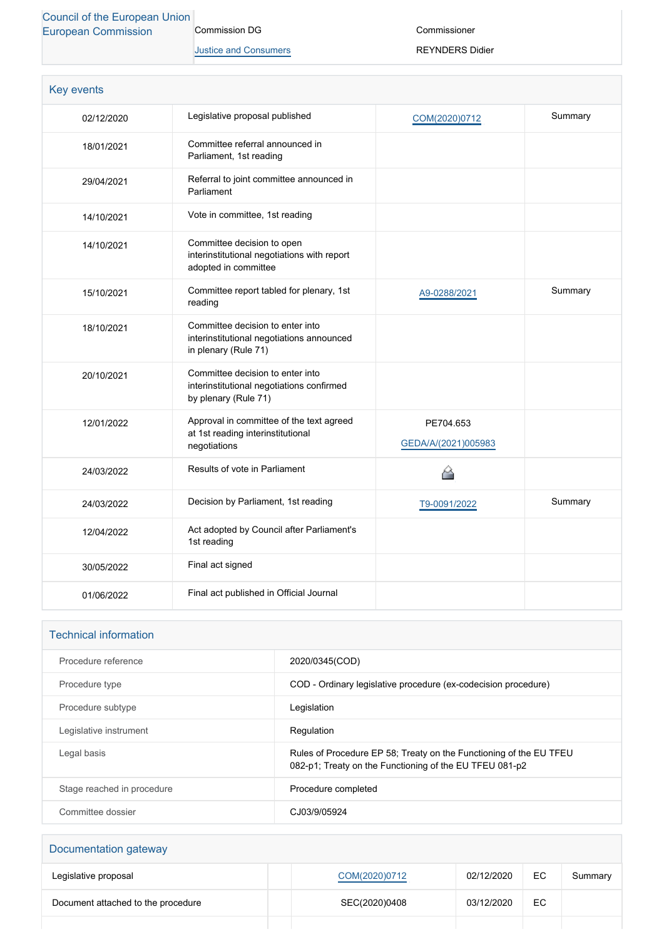# [Council of the European Union](http://www.consilium.europa.eu) [European Commission](http://ec.europa.eu/) Commission DG

[Justice and Consumers](http://ec.europa.eu/info/departments/justice-and-consumers_en)

Commissioner

REYNDERS Didier

| <b>Key events</b> |                                                                                                       |                                  |         |
|-------------------|-------------------------------------------------------------------------------------------------------|----------------------------------|---------|
| 02/12/2020        | Legislative proposal published                                                                        | COM(2020)0712                    | Summary |
| 18/01/2021        | Committee referral announced in<br>Parliament, 1st reading                                            |                                  |         |
| 29/04/2021        | Referral to joint committee announced in<br>Parliament                                                |                                  |         |
| 14/10/2021        | Vote in committee, 1st reading                                                                        |                                  |         |
| 14/10/2021        | Committee decision to open<br>interinstitutional negotiations with report<br>adopted in committee     |                                  |         |
| 15/10/2021        | Committee report tabled for plenary, 1st<br>reading                                                   | A9-0288/2021                     | Summary |
| 18/10/2021        | Committee decision to enter into<br>interinstitutional negotiations announced<br>in plenary (Rule 71) |                                  |         |
| 20/10/2021        | Committee decision to enter into<br>interinstitutional negotiations confirmed<br>by plenary (Rule 71) |                                  |         |
| 12/01/2022        | Approval in committee of the text agreed<br>at 1st reading interinstitutional<br>negotiations         | PE704.653<br>GEDA/A/(2021)005983 |         |
| 24/03/2022        | Results of vote in Parliament                                                                         |                                  |         |
| 24/03/2022        | Decision by Parliament, 1st reading                                                                   | T9-0091/2022                     | Summary |
| 12/04/2022        | Act adopted by Council after Parliament's<br>1st reading                                              |                                  |         |
| 30/05/2022        | Final act signed                                                                                      |                                  |         |
| 01/06/2022        | Final act published in Official Journal                                                               |                                  |         |

# Technical information

| Procedure reference        | 2020/0345(COD)                                                                                                                |
|----------------------------|-------------------------------------------------------------------------------------------------------------------------------|
| Procedure type             | COD - Ordinary legislative procedure (ex-codecision procedure)                                                                |
| Procedure subtype          | Legislation                                                                                                                   |
| Legislative instrument     | Regulation                                                                                                                    |
| Legal basis                | Rules of Procedure EP 58; Treaty on the Functioning of the EU TFEU<br>082-p1; Treaty on the Functioning of the EU TFEU 081-p2 |
| Stage reached in procedure | Procedure completed                                                                                                           |
| Committee dossier          | CJ03/9/05924                                                                                                                  |

| Documentation gateway              |               |            |     |         |
|------------------------------------|---------------|------------|-----|---------|
| Legislative proposal               | COM(2020)0712 | 02/12/2020 | EC. | Summary |
| Document attached to the procedure | SEC(2020)0408 | 03/12/2020 | EC. |         |
|                                    |               |            |     |         |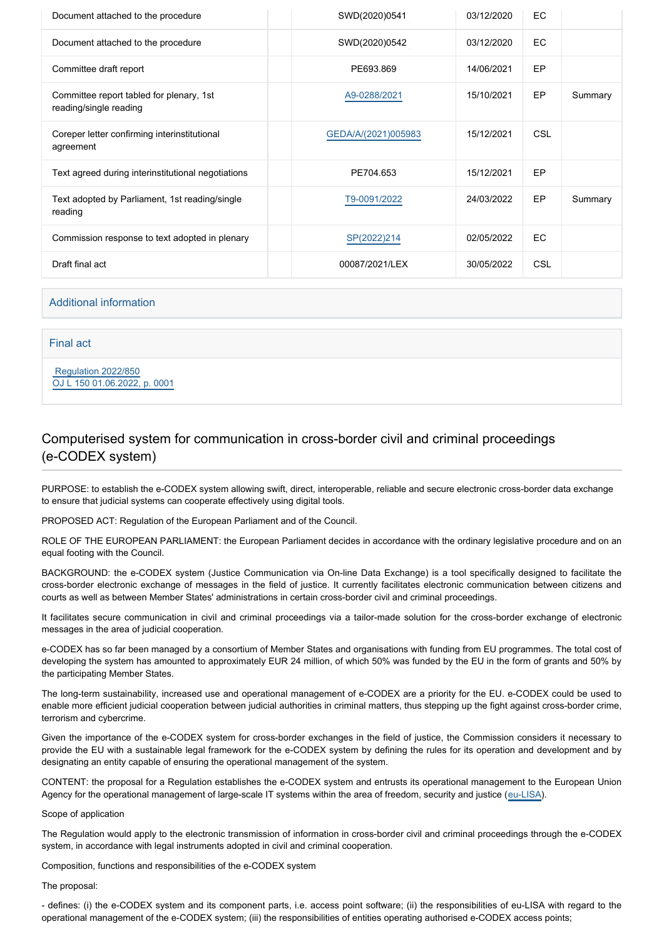| Document attached to the procedure                                 | SWD(2020)0541       | 03/12/2020 | EC         |         |
|--------------------------------------------------------------------|---------------------|------------|------------|---------|
| Document attached to the procedure                                 | SWD(2020)0542       | 03/12/2020 | EC         |         |
| Committee draft report                                             | PE693.869           | 14/06/2021 | EP         |         |
| Committee report tabled for plenary, 1st<br>reading/single reading | A9-0288/2021        | 15/10/2021 | EP         | Summary |
| Coreper letter confirming interinstitutional<br>agreement          | GEDA/A/(2021)005983 | 15/12/2021 | <b>CSL</b> |         |
| Text agreed during interinstitutional negotiations                 | PE704.653           | 15/12/2021 | EP         |         |
| Text adopted by Parliament, 1st reading/single<br>reading          | T9-0091/2022        | 24/03/2022 | EP         | Summary |
| Commission response to text adopted in plenary                     | SP(2022)214         | 02/05/2022 | EC         |         |
| Draft final act                                                    | 00087/2021/LEX      | 30/05/2022 | <b>CSL</b> |         |

# Additional information

# Final act

 [Regulation 2022/850](https://eur-lex.europa.eu/smartapi/cgi/sga_doc?smartapi!celexplus!prod!CELEXnumdoc&lg=EN&numdoc=32022R0850) [OJ L 150 01.06.2022, p. 0001](https://eur-lex.europa.eu/legal-content/EN/TXT/?uri=OJ:L:2022:150:TOC)

# Computerised system for communication in cross-border civil and criminal proceedings (e-CODEX system)

PURPOSE: to establish the e-CODEX system allowing swift, direct, interoperable, reliable and secure electronic cross-border data exchange to ensure that judicial systems can cooperate effectively using digital tools.

PROPOSED ACT: Regulation of the European Parliament and of the Council.

ROLE OF THE EUROPEAN PARLIAMENT: the European Parliament decides in accordance with the ordinary legislative procedure and on an equal footing with the Council.

BACKGROUND: the e-CODEX system (Justice Communication via On-line Data Exchange) is a tool specifically designed to facilitate the cross-border electronic exchange of messages in the field of justice. It currently facilitates electronic communication between citizens and courts as well as between Member States' administrations in certain cross-border civil and criminal proceedings.

It facilitates secure communication in civil and criminal proceedings via a tailor-made solution for the cross-border exchange of electronic messages in the area of judicial cooperation.

e-CODEX has so far been managed by a consortium of Member States and organisations with funding from EU programmes. The total cost of developing the system has amounted to approximately EUR 24 million, of which 50% was funded by the EU in the form of grants and 50% by the participating Member States.

The long-term sustainability, increased use and operational management of e-CODEX are a priority for the EU. e-CODEX could be used to enable more efficient judicial cooperation between judicial authorities in criminal matters, thus stepping up the fight against cross-border crime, terrorism and cybercrime.

Given the importance of the e-CODEX system for cross-border exchanges in the field of justice, the Commission considers it necessary to provide the EU with a sustainable legal framework for the e-CODEX system by defining the rules for its operation and development and by designating an entity capable of ensuring the operational management of the system.

CONTENT: the proposal for a Regulation establishes the e-CODEX system and entrusts its operational management to the European Union Agency for the operational management of large-scale IT systems within the area of freedom, security and justice ([eu-LISA](https://oeil.secure.europarl.europa.eu/oeil/popups/ficheprocedure.do?reference=2017/0145(COD)&l=en)).

### Scope of application

The Regulation would apply to the electronic transmission of information in cross-border civil and criminal proceedings through the e-CODEX system, in accordance with legal instruments adopted in civil and criminal cooperation.

Composition, functions and responsibilities of the e-CODEX system

# The proposal:

- defines: (i) the e-CODEX system and its component parts, i.e. access point software; (ii) the responsibilities of eu-LISA with regard to the operational management of the e-CODEX system; (iii) the responsibilities of entities operating authorised e-CODEX access points;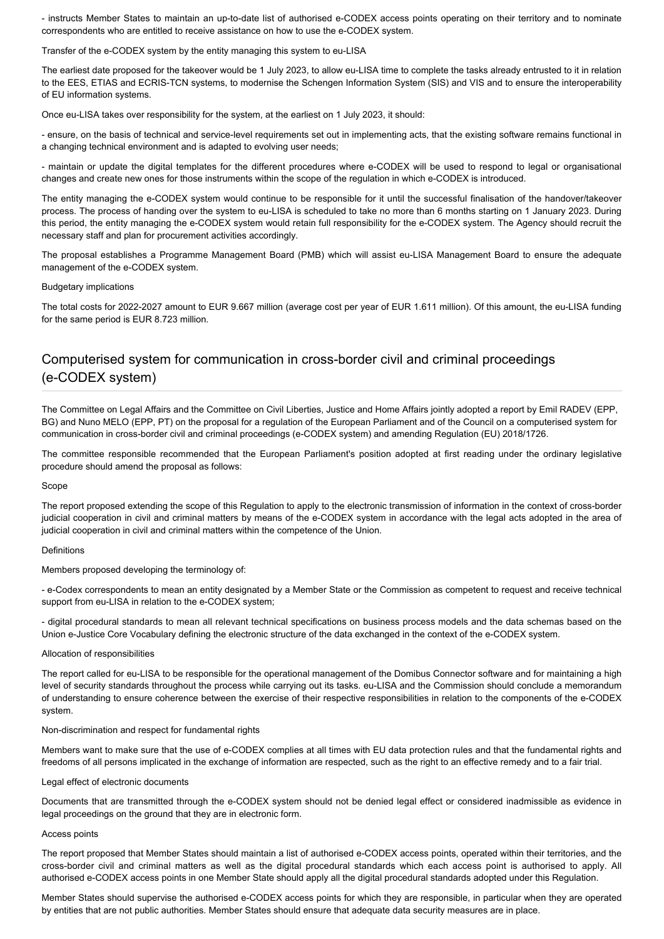- instructs Member States to maintain an up-to-date list of authorised e-CODEX access points operating on their territory and to nominate correspondents who are entitled to receive assistance on how to use the e-CODEX system.

Transfer of the e-CODEX system by the entity managing this system to eu-LISA

The earliest date proposed for the takeover would be 1 July 2023, to allow eu-LISA time to complete the tasks already entrusted to it in relation to the EES, ETIAS and ECRIS-TCN systems, to modernise the Schengen Information System (SIS) and VIS and to ensure the interoperability of EU information systems.

Once eu-LISA takes over responsibility for the system, at the earliest on 1 July 2023, it should:

- ensure, on the basis of technical and service-level requirements set out in implementing acts, that the existing software remains functional in a changing technical environment and is adapted to evolving user needs;

- maintain or update the digital templates for the different procedures where e-CODEX will be used to respond to legal or organisational changes and create new ones for those instruments within the scope of the regulation in which e-CODEX is introduced.

The entity managing the e-CODEX system would continue to be responsible for it until the successful finalisation of the handover/takeover process. The process of handing over the system to eu-LISA is scheduled to take no more than 6 months starting on 1 January 2023. During this period, the entity managing the e-CODEX system would retain full responsibility for the e-CODEX system. The Agency should recruit the necessary staff and plan for procurement activities accordingly.

The proposal establishes a Programme Management Board (PMB) which will assist eu-LISA Management Board to ensure the adequate management of the e-CODEX system.

#### Budgetary implications

The total costs for 2022-2027 amount to EUR 9.667 million (average cost per year of EUR 1.611 million). Of this amount, the eu-LISA funding for the same period is EUR 8.723 million.

# Computerised system for communication in cross-border civil and criminal proceedings (e-CODEX system)

The Committee on Legal Affairs and the Committee on Civil Liberties, Justice and Home Affairs jointly adopted a report by Emil RADEV (EPP, BG) and Nuno MELO (EPP, PT) on the proposal for a regulation of the European Parliament and of the Council on a computerised system for communication in cross-border civil and criminal proceedings (e-CODEX system) and amending Regulation (EU) 2018/1726.

The committee responsible recommended that the European Parliament's position adopted at first reading under the ordinary legislative procedure should amend the proposal as follows:

#### Scope

The report proposed extending the scope of this Regulation to apply to the electronic transmission of information in the context of cross-border judicial cooperation in civil and criminal matters by means of the e-CODEX system in accordance with the legal acts adopted in the area of judicial cooperation in civil and criminal matters within the competence of the Union.

#### **Definitions**

Members proposed developing the terminology of:

- e-Codex correspondents to mean an entity designated by a Member State or the Commission as competent to request and receive technical support from eu-LISA in relation to the e-CODEX system;

- digital procedural standards to mean all relevant technical specifications on business process models and the data schemas based on the Union e-Justice Core Vocabulary defining the electronic structure of the data exchanged in the context of the e-CODEX system.

# Allocation of responsibilities

The report called for eu-LISA to be responsible for the operational management of the Domibus Connector software and for maintaining a high level of security standards throughout the process while carrying out its tasks. eu-LISA and the Commission should conclude a memorandum of understanding to ensure coherence between the exercise of their respective responsibilities in relation to the components of the e-CODEX system.

#### Non-discrimination and respect for fundamental rights

Members want to make sure that the use of e-CODEX complies at all times with EU data protection rules and that the fundamental rights and freedoms of all persons implicated in the exchange of information are respected, such as the right to an effective remedy and to a fair trial.

#### Legal effect of electronic documents

Documents that are transmitted through the e-CODEX system should not be denied legal effect or considered inadmissible as evidence in legal proceedings on the ground that they are in electronic form.

#### Access points

The report proposed that Member States should maintain a list of authorised e-CODEX access points, operated within their territories, and the cross-border civil and criminal matters as well as the digital procedural standards which each access point is authorised to apply. All authorised e-CODEX access points in one Member State should apply all the digital procedural standards adopted under this Regulation.

Member States should supervise the authorised e-CODEX access points for which they are responsible, in particular when they are operated by entities that are not public authorities. Member States should ensure that adequate data security measures are in place.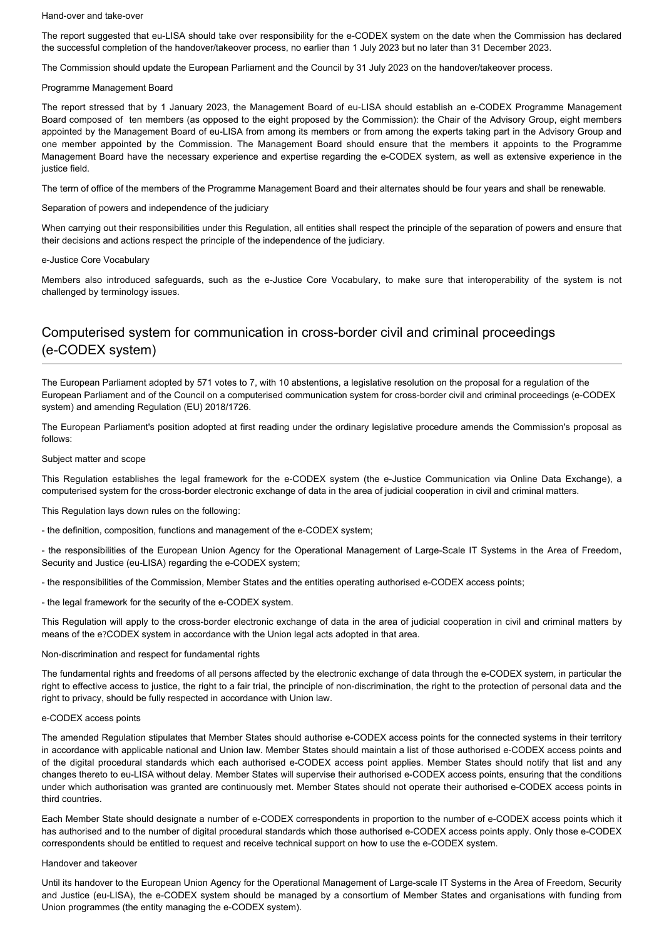#### Hand-over and take-over

The report suggested that eu-LISA should take over responsibility for the e-CODEX system on the date when the Commission has declared the successful completion of the handover/takeover process, no earlier than 1 July 2023 but no later than 31 December 2023.

The Commission should update the European Parliament and the Council by 31 July 2023 on the handover/takeover process.

# Programme Management Board

The report stressed that by 1 January 2023, the Management Board of eu-LISA should establish an e-CODEX Programme Management Board composed of ten members (as opposed to the eight proposed by the Commission): the Chair of the Advisory Group, eight members appointed by the Management Board of eu-LISA from among its members or from among the experts taking part in the Advisory Group and one member appointed by the Commission. The Management Board should ensure that the members it appoints to the Programme Management Board have the necessary experience and expertise regarding the e-CODEX system, as well as extensive experience in the justice field.

The term of office of the members of the Programme Management Board and their alternates should be four years and shall be renewable.

# Separation of powers and independence of the judiciary

When carrying out their responsibilities under this Regulation, all entities shall respect the principle of the separation of powers and ensure that their decisions and actions respect the principle of the independence of the judiciary.

### e-Justice Core Vocabulary

Members also introduced safeguards, such as the e-Justice Core Vocabulary, to make sure that interoperability of the system is not challenged by terminology issues.

# Computerised system for communication in cross-border civil and criminal proceedings (e-CODEX system)

The European Parliament adopted by 571 votes to 7, with 10 abstentions, a legislative resolution on the proposal for a regulation of the European Parliament and of the Council on a computerised communication system for cross-border civil and criminal proceedings (e-CODEX system) and amending Regulation (EU) 2018/1726.

The European Parliament's position adopted at first reading under the ordinary legislative procedure amends the Commission's proposal as follows:

### Subject matter and scope

This Regulation establishes the legal framework for the e-CODEX system (the e-Justice Communication via Online Data Exchange), a computerised system for the cross-border electronic exchange of data in the area of judicial cooperation in civil and criminal matters.

This Regulation lays down rules on the following:

- the definition, composition, functions and management of the e-CODEX system;

- the responsibilities of the European Union Agency for the Operational Management of Large-Scale IT Systems in the Area of Freedom, Security and Justice (eu-LISA) regarding the e-CODEX system;

- the responsibilities of the Commission, Member States and the entities operating authorised e-CODEX access points;

- the legal framework for the security of the e-CODEX system.

This Regulation will apply to the cross-border electronic exchange of data in the area of judicial cooperation in civil and criminal matters by means of the e?CODEX system in accordance with the Union legal acts adopted in that area.

# Non-discrimination and respect for fundamental rights

The fundamental rights and freedoms of all persons affected by the electronic exchange of data through the e-CODEX system, in particular the right to effective access to justice, the right to a fair trial, the principle of non-discrimination, the right to the protection of personal data and the right to privacy, should be fully respected in accordance with Union law.

### e-CODEX access points

The amended Regulation stipulates that Member States should authorise e-CODEX access points for the connected systems in their territory in accordance with applicable national and Union law. Member States should maintain a list of those authorised e-CODEX access points and of the digital procedural standards which each authorised e-CODEX access point applies. Member States should notify that list and any changes thereto to eu-LISA without delay. Member States will supervise their authorised e-CODEX access points, ensuring that the conditions under which authorisation was granted are continuously met. Member States should not operate their authorised e-CODEX access points in third countries.

Each Member State should designate a number of e-CODEX correspondents in proportion to the number of e-CODEX access points which it has authorised and to the number of digital procedural standards which those authorised e-CODEX access points apply. Only those e-CODEX correspondents should be entitled to request and receive technical support on how to use the e-CODEX system.

### Handover and takeover

Until its handover to the European Union Agency for the Operational Management of Large-scale IT Systems in the Area of Freedom, Security and Justice (eu-LISA), the e-CODEX system should be managed by a consortium of Member States and organisations with funding from Union programmes (the entity managing the e-CODEX system).